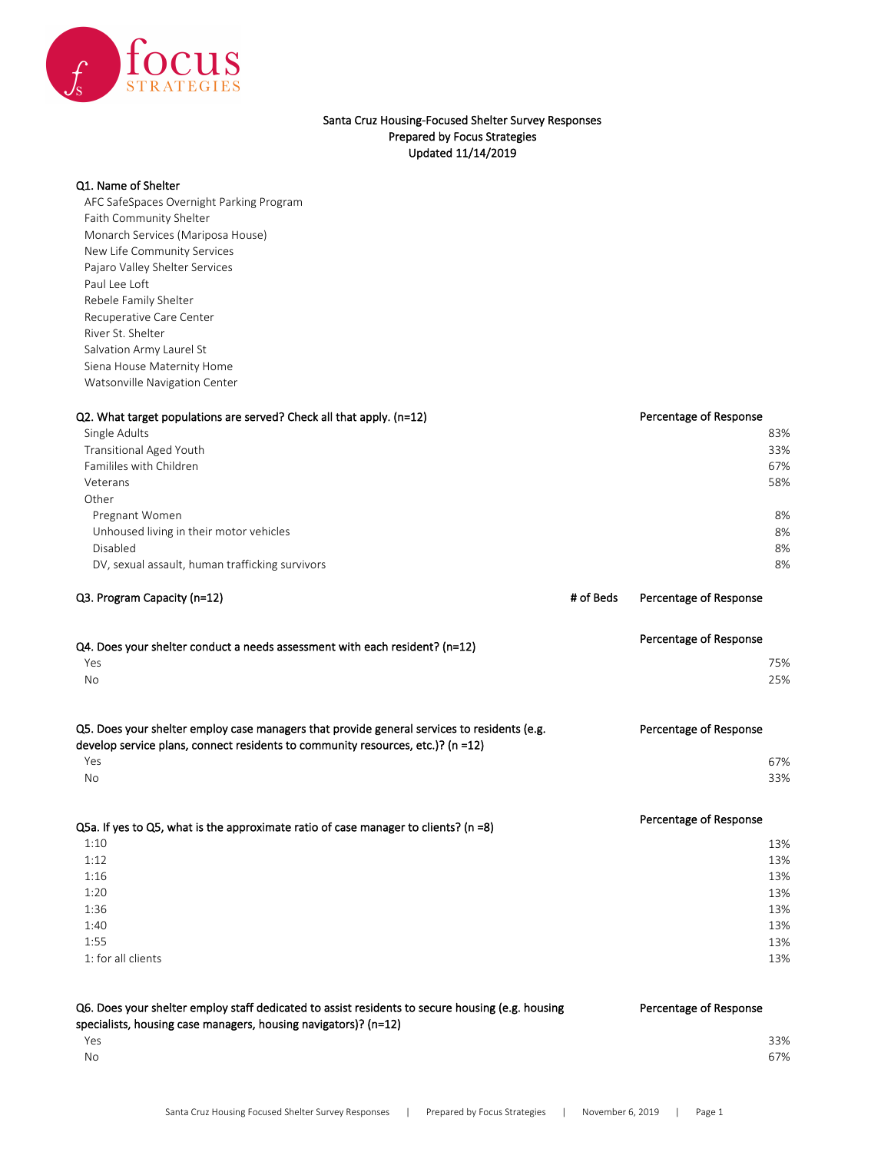

## Santa Cruz Housing-Focused Shelter Survey Responses Prepared by Focus Strategies Updated 11/14/2019

## Q1. Name of Shelter

AFC SafeSpaces Overnight Parking Program Faith Community Shelter Monarch Services (Mariposa House) New Life Community Services Pajaro Valley Shelter Services Paul Lee Loft Rebele Family Shelter Recuperative Care Center River St. Shelter Salvation Army Laurel St Siena House Maternity Home Watsonville Navigation Center

| Q2. What target populations are served? Check all that apply. (n=12)<br>Single Adults<br><b>Transitional Aged Youth</b><br>Famililes with Children<br>Veterans<br>Other<br>Pregnant Women<br>Unhoused living in their motor vehicles<br>Disabled<br>DV, sexual assault, human trafficking survivors |           | Percentage of Response<br>83%<br>33%<br>67%<br>58%<br>8%<br>8%<br>8%<br>8%     |
|-----------------------------------------------------------------------------------------------------------------------------------------------------------------------------------------------------------------------------------------------------------------------------------------------------|-----------|--------------------------------------------------------------------------------|
| Q3. Program Capacity (n=12)                                                                                                                                                                                                                                                                         | # of Beds | Percentage of Response                                                         |
| Q4. Does your shelter conduct a needs assessment with each resident? ( $n=12$ )<br>Yes<br>No                                                                                                                                                                                                        |           | Percentage of Response<br>75%<br>25%                                           |
| Q5. Does your shelter employ case managers that provide general services to residents (e.g.<br>develop service plans, connect residents to community resources, etc.)? (n =12)<br>Yes<br>No                                                                                                         |           | Percentage of Response<br>67%<br>33%                                           |
| Q5a. If yes to Q5, what is the approximate ratio of case manager to clients? ( $n = 8$ )<br>1:10<br>1:12<br>1:16<br>1:20<br>1:36<br>1:40<br>1:55<br>1: for all clients                                                                                                                              |           | Percentage of Response<br>13%<br>13%<br>13%<br>13%<br>13%<br>13%<br>13%<br>13% |
| Q6. Does your shelter employ staff dedicated to assist residents to secure housing (e.g. housing<br>specialists, housing case managers, housing navigators)? (n=12)<br>Yes<br>No                                                                                                                    |           | Percentage of Response<br>33%<br>67%                                           |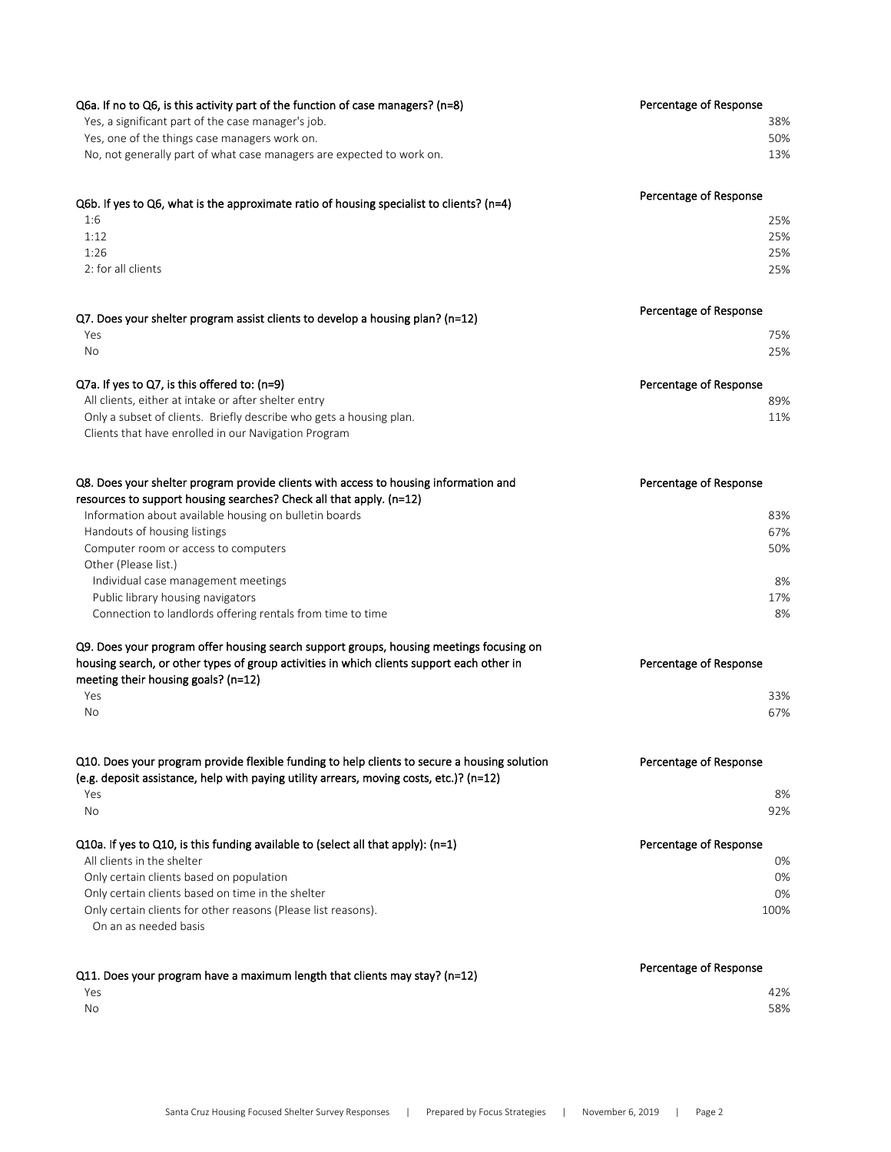| Q6a. If no to Q6, is this activity part of the function of case managers? ( $n=8$ )                                              | Percentage of Response |
|----------------------------------------------------------------------------------------------------------------------------------|------------------------|
| Yes, a significant part of the case manager's job.                                                                               | 38%                    |
| Yes, one of the things case managers work on.                                                                                    | 50%                    |
| No, not generally part of what case managers are expected to work on.                                                            | 13%                    |
| Q6b. If yes to Q6, what is the approximate ratio of housing specialist to clients? (n=4)                                         | Percentage of Response |
| 1:6                                                                                                                              | 25%                    |
| 1:12                                                                                                                             | 25%                    |
| 1:26                                                                                                                             | 25%                    |
| 2: for all clients                                                                                                               | 25%                    |
| Q7. Does your shelter program assist clients to develop a housing plan? (n=12)                                                   | Percentage of Response |
| Yes                                                                                                                              | 75%                    |
| No                                                                                                                               | 25%                    |
| $Q7a$ . If yes to $Q7$ , is this offered to: (n=9)                                                                               | Percentage of Response |
| All clients, either at intake or after shelter entry<br>Only a subset of clients. Briefly describe who gets a housing plan.      | 89%                    |
| Clients that have enrolled in our Navigation Program                                                                             | 11%                    |
| Q8. Does your shelter program provide clients with access to housing information and                                             | Percentage of Response |
| resources to support housing searches? Check all that apply. (n=12)                                                              |                        |
| Information about available housing on bulletin boards                                                                           | 83%                    |
| Handouts of housing listings                                                                                                     | 67%                    |
| Computer room or access to computers                                                                                             | 50%                    |
| Other (Please list.)                                                                                                             |                        |
| Individual case management meetings                                                                                              | 8%                     |
| Public library housing navigators<br>Connection to landlords offering rentals from time to time                                  | 17%<br>8%              |
| Q9. Does your program offer housing search support groups, housing meetings focusing on                                          |                        |
| housing search, or other types of group activities in which clients support each other in<br>meeting their housing goals? (n=12) | Percentage of Response |
| Yes                                                                                                                              | 33%                    |
| No                                                                                                                               | 67%                    |
| Q10. Does your program provide flexible funding to help clients to secure a housing solution                                     | Percentage of Response |
| (e.g. deposit assistance, help with paying utility arrears, moving costs, etc.)? ( $n=12$ )<br>Yes                               | 8%                     |
| No                                                                                                                               | 92%                    |
| Q10a. If yes to Q10, is this funding available to (select all that apply): $(n=1)$                                               | Percentage of Response |
| All clients in the shelter                                                                                                       | 0%                     |
| Only certain clients based on population<br>Only certain clients based on time in the shelter                                    | 0%<br>0%               |
| Only certain clients for other reasons (Please list reasons).<br>On an as needed basis                                           | 100%                   |
| Q11. Does your program have a maximum length that clients may stay? (n=12)                                                       | Percentage of Response |
| Yes                                                                                                                              | 42%                    |
| No                                                                                                                               | 58%                    |
|                                                                                                                                  |                        |